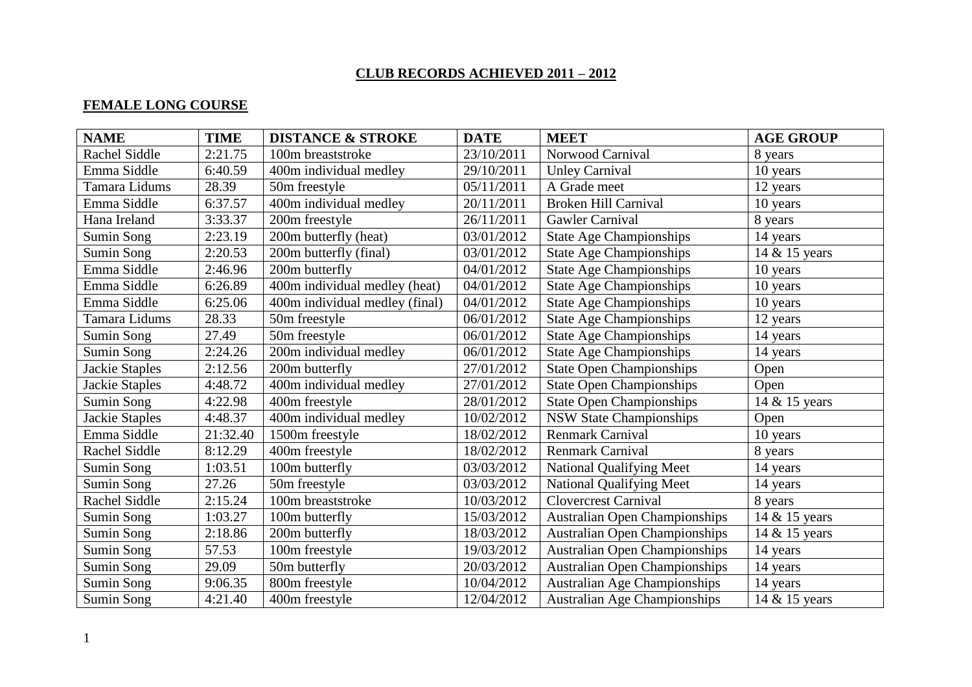# **CLUB RECORDS ACHIEVED 2011 – 2012**

### **FEMALE LONG COURSE**

| <b>NAME</b>    | <b>TIME</b> | <b>DISTANCE &amp; STROKE</b>   | <b>DATE</b> | <b>MEET</b>                          | <b>AGE GROUP</b> |
|----------------|-------------|--------------------------------|-------------|--------------------------------------|------------------|
| Rachel Siddle  | 2:21.75     | 100m breaststroke              | 23/10/2011  | Norwood Carnival                     | 8 years          |
| Emma Siddle    | 6:40.59     | 400m individual medley         | 29/10/2011  | <b>Unley Carnival</b>                | 10 years         |
| Tamara Lidums  | 28.39       | 50m freestyle                  | 05/11/2011  | A Grade meet                         | 12 years         |
| Emma Siddle    | 6:37.57     | 400m individual medley         | 20/11/2011  | <b>Broken Hill Carnival</b>          | 10 years         |
| Hana Ireland   | 3:33.37     | 200m freestyle                 | 26/11/2011  | Gawler Carnival                      | 8 years          |
| Sumin Song     | 2:23.19     | 200m butterfly (heat)          | 03/01/2012  | <b>State Age Championships</b>       | 14 years         |
| Sumin Song     | 2:20.53     | 200m butterfly (final)         | 03/01/2012  | <b>State Age Championships</b>       | 14 & 15 years    |
| Emma Siddle    | 2:46.96     | 200m butterfly                 | 04/01/2012  | <b>State Age Championships</b>       | 10 years         |
| Emma Siddle    | 6:26.89     | 400m individual medley (heat)  | 04/01/2012  | <b>State Age Championships</b>       | 10 years         |
| Emma Siddle    | 6:25.06     | 400m individual medley (final) | 04/01/2012  | <b>State Age Championships</b>       | 10 years         |
| Tamara Lidums  | 28.33       | 50m freestyle                  | 06/01/2012  | <b>State Age Championships</b>       | 12 years         |
| Sumin Song     | 27.49       | 50m freestyle                  | 06/01/2012  | <b>State Age Championships</b>       | 14 years         |
| Sumin Song     | 2:24.26     | 200m individual medley         | 06/01/2012  | <b>State Age Championships</b>       | 14 years         |
| Jackie Staples | 2:12.56     | 200m butterfly                 | 27/01/2012  | <b>State Open Championships</b>      | Open             |
| Jackie Staples | 4:48.72     | 400m individual medley         | 27/01/2012  | <b>State Open Championships</b>      | Open             |
| Sumin Song     | 4:22.98     | 400m freestyle                 | 28/01/2012  | <b>State Open Championships</b>      | 14 & 15 years    |
| Jackie Staples | 4:48.37     | 400m individual medley         | 10/02/2012  | <b>NSW State Championships</b>       | Open             |
| Emma Siddle    | 21:32.40    | $\overline{1500m}$ freestyle   | 18/02/2012  | Renmark Carnival                     | 10 years         |
| Rachel Siddle  | 8:12.29     | 400m freestyle                 | 18/02/2012  | <b>Renmark Carnival</b>              | 8 years          |
| Sumin Song     | 1:03.51     | 100m butterfly                 | 03/03/2012  | <b>National Qualifying Meet</b>      | 14 years         |
| Sumin Song     | 27.26       | 50m freestyle                  | 03/03/2012  | <b>National Qualifying Meet</b>      | 14 years         |
| Rachel Siddle  | 2:15.24     | 100m breaststroke              | 10/03/2012  | <b>Clovercrest Carnival</b>          | 8 years          |
| Sumin Song     | 1:03.27     | 100m butterfly                 | 15/03/2012  | <b>Australian Open Championships</b> | 14 & 15 years    |
| Sumin Song     | 2:18.86     | 200m butterfly                 | 18/03/2012  | <b>Australian Open Championships</b> | 14 & 15 years    |
| Sumin Song     | 57.53       | 100m freestyle                 | 19/03/2012  | <b>Australian Open Championships</b> | 14 years         |
| Sumin Song     | 29.09       | 50m butterfly                  | 20/03/2012  | <b>Australian Open Championships</b> | 14 years         |
| Sumin Song     | 9:06.35     | 800m freestyle                 | 10/04/2012  | <b>Australian Age Championships</b>  | 14 years         |
| Sumin Song     | 4:21.40     | 400m freestyle                 | 12/04/2012  | <b>Australian Age Championships</b>  | 14 & 15 years    |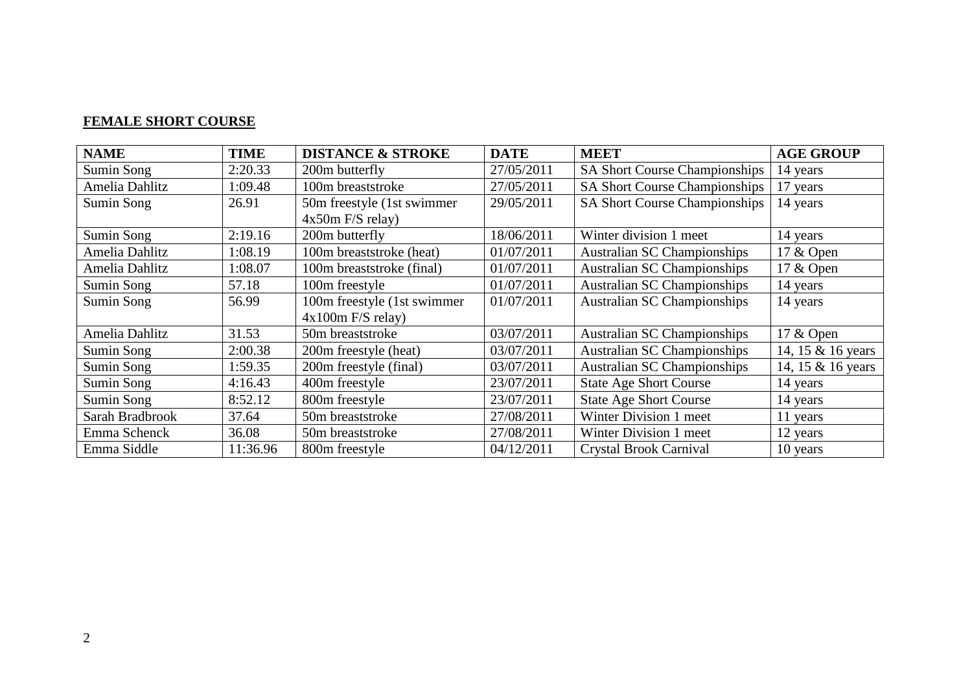#### **FEMALE SHORT COURSE**

| <b>NAME</b>     | <b>TIME</b> | <b>DISTANCE &amp; STROKE</b> | <b>DATE</b> | <b>MEET</b>                          | <b>AGE GROUP</b>  |
|-----------------|-------------|------------------------------|-------------|--------------------------------------|-------------------|
| Sumin Song      | 2:20.33     | 200m butterfly               | 27/05/2011  | SA Short Course Championships        | 14 years          |
| Amelia Dahlitz  | 1:09.48     | 100m breaststroke            | 27/05/2011  | <b>SA Short Course Championships</b> | 17 years          |
| Sumin Song      | 26.91       | 50m freestyle (1st swimmer)  | 29/05/2011  | <b>SA Short Course Championships</b> | 14 years          |
|                 |             | $4x50m$ F/S relay)           |             |                                      |                   |
| Sumin Song      | 2:19.16     | 200m butterfly               | 18/06/2011  | Winter division 1 meet               | 14 years          |
| Amelia Dahlitz  | 1:08.19     | 100m breaststroke (heat)     | 01/07/2011  | <b>Australian SC Championships</b>   | 17 & Open         |
| Amelia Dahlitz  | 1:08.07     | 100m breaststroke (final)    | 01/07/2011  | <b>Australian SC Championships</b>   | 17 & Open         |
| Sumin Song      | 57.18       | 100m freestyle               | 01/07/2011  | <b>Australian SC Championships</b>   | 14 years          |
| Sumin Song      | 56.99       | 100m freestyle (1st swimmer  | 01/07/2011  | <b>Australian SC Championships</b>   | 14 years          |
|                 |             | $4x100m$ F/S relay)          |             |                                      |                   |
| Amelia Dahlitz  | 31.53       | 50m breaststroke             | 03/07/2011  | <b>Australian SC Championships</b>   | 17 & Open         |
| Sumin Song      | 2:00.38     | 200m freestyle (heat)        | 03/07/2011  | <b>Australian SC Championships</b>   | 14, 15 & 16 years |
| Sumin Song      | 1:59.35     | 200m freestyle (final)       | 03/07/2011  | <b>Australian SC Championships</b>   | 14, 15 & 16 years |
| Sumin Song      | 4:16.43     | 400m freestyle               | 23/07/2011  | <b>State Age Short Course</b>        | 14 years          |
| Sumin Song      | 8:52.12     | 800m freestyle               | 23/07/2011  | <b>State Age Short Course</b>        | 14 years          |
| Sarah Bradbrook | 37.64       | 50m breaststroke             | 27/08/2011  | Winter Division 1 meet               | 11 years          |
| Emma Schenck    | 36.08       | 50m breaststroke             | 27/08/2011  | Winter Division 1 meet               | 12 years          |
| Emma Siddle     | 11:36.96    | 800m freestyle               | 04/12/2011  | Crystal Brook Carnival               | 10 years          |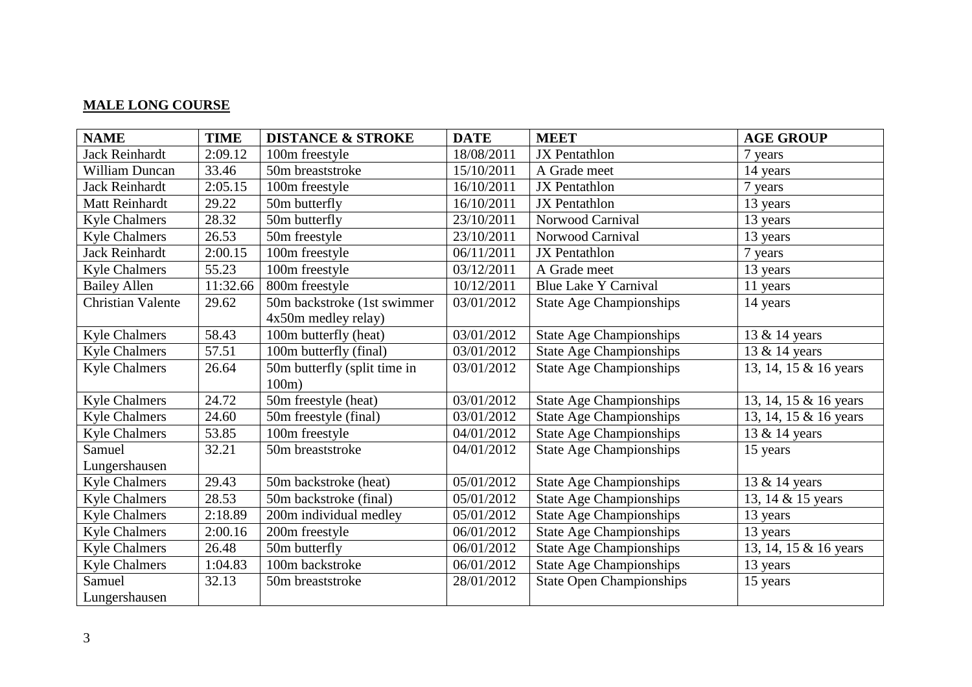# **MALE LONG COURSE**

| <b>NAME</b>              | <b>TIME</b> | <b>DISTANCE &amp; STROKE</b>             | <b>DATE</b> | <b>MEET</b>                     | <b>AGE GROUP</b>      |
|--------------------------|-------------|------------------------------------------|-------------|---------------------------------|-----------------------|
| <b>Jack Reinhardt</b>    | 2:09.12     | 100m freestyle                           | 18/08/2011  | <b>JX</b> Pentathlon            | 7 years               |
| <b>William Duncan</b>    | 33.46       | 50m breaststroke                         | 15/10/2011  | A Grade meet                    | 14 years              |
| <b>Jack Reinhardt</b>    | 2:05.15     | 100m freestyle                           | 16/10/2011  | <b>JX</b> Pentathlon            | 7 years               |
| Matt Reinhardt           | 29.22       | 50m butterfly                            | 16/10/2011  | JX Pentathlon                   | 13 years              |
| <b>Kyle Chalmers</b>     | 28.32       | 50m butterfly                            | 23/10/2011  | Norwood Carnival                | 13 years              |
| <b>Kyle Chalmers</b>     | 26.53       | 50m freestyle                            | 23/10/2011  | Norwood Carnival                | 13 years              |
| Jack Reinhardt           | 2:00.15     | 100m freestyle                           | 06/11/2011  | <b>JX</b> Pentathlon            | 7 years               |
| <b>Kyle Chalmers</b>     | 55.23       | 100m freestyle                           | 03/12/2011  | A Grade meet                    | 13 years              |
| <b>Bailey Allen</b>      | 11:32.66    | 800m freestyle                           | 10/12/2011  | <b>Blue Lake Y Carnival</b>     | 11 years              |
| <b>Christian Valente</b> | 29.62       | 50m backstroke (1st swimmer              | 03/01/2012  | <b>State Age Championships</b>  | 14 years              |
|                          |             | 4x50m medley relay)                      |             |                                 |                       |
| <b>Kyle Chalmers</b>     | 58.43       | 100m butterfly (heat)                    | 03/01/2012  | <b>State Age Championships</b>  | 13 & 14 years         |
| <b>Kyle Chalmers</b>     | 57.51       | 100m butterfly (final)                   | 03/01/2012  | <b>State Age Championships</b>  | 13 & 14 years         |
| <b>Kyle Chalmers</b>     | 26.64       | 50m butterfly (split time in<br>$100m$ ) | 03/01/2012  | <b>State Age Championships</b>  | 13, 14, 15 & 16 years |
| <b>Kyle Chalmers</b>     | 24.72       | 50m freestyle (heat)                     | 03/01/2012  | <b>State Age Championships</b>  | 13, 14, 15 & 16 years |
| <b>Kyle Chalmers</b>     | 24.60       | 50m freestyle (final)                    | 03/01/2012  | <b>State Age Championships</b>  | 13, 14, 15 & 16 years |
| <b>Kyle Chalmers</b>     | 53.85       | 100m freestyle                           | 04/01/2012  | <b>State Age Championships</b>  | 13 & 14 years         |
| Samuel                   | 32.21       | 50m breaststroke                         | 04/01/2012  | <b>State Age Championships</b>  | 15 years              |
| Lungershausen            |             |                                          |             |                                 |                       |
| <b>Kyle Chalmers</b>     | 29.43       | 50m backstroke (heat)                    | 05/01/2012  | <b>State Age Championships</b>  | 13 & 14 years         |
| <b>Kyle Chalmers</b>     | 28.53       | 50m backstroke (final)                   | 05/01/2012  | <b>State Age Championships</b>  | 13, 14 & 15 years     |
| <b>Kyle Chalmers</b>     | 2:18.89     | 200m individual medley                   | 05/01/2012  | <b>State Age Championships</b>  | 13 years              |
| <b>Kyle Chalmers</b>     | 2:00.16     | 200m freestyle                           | 06/01/2012  | <b>State Age Championships</b>  | 13 years              |
| <b>Kyle Chalmers</b>     | 26.48       | 50m butterfly                            | 06/01/2012  | <b>State Age Championships</b>  | 13, 14, 15 & 16 years |
| <b>Kyle Chalmers</b>     | 1:04.83     | 100m backstroke                          | 06/01/2012  | <b>State Age Championships</b>  | 13 years              |
| Samuel                   | 32.13       | 50m breaststroke                         | 28/01/2012  | <b>State Open Championships</b> | 15 years              |
| Lungershausen            |             |                                          |             |                                 |                       |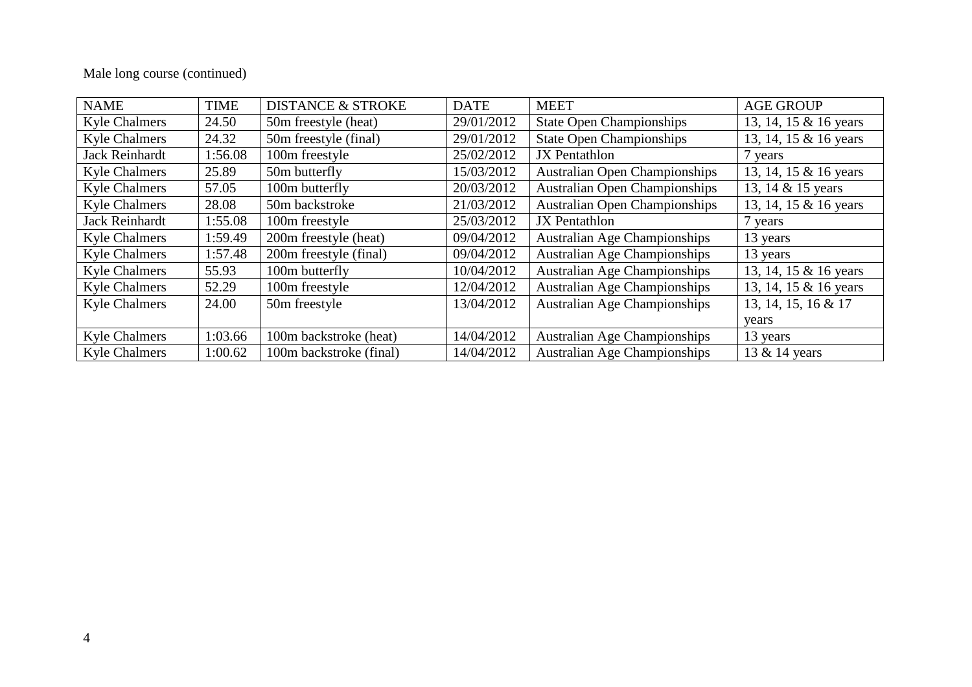# Male long course (continued)

| <b>NAME</b>          | <b>TIME</b> | <b>DISTANCE &amp; STROKE</b> | <b>DATE</b> | <b>MEET</b>                          | <b>AGE GROUP</b>      |
|----------------------|-------------|------------------------------|-------------|--------------------------------------|-----------------------|
| <b>Kyle Chalmers</b> | 24.50       | 50m freestyle (heat)         | 29/01/2012  | <b>State Open Championships</b>      | 13, 14, 15 & 16 years |
| <b>Kyle Chalmers</b> | 24.32       | 50m freestyle (final)        | 29/01/2012  | <b>State Open Championships</b>      | 13, 14, 15 & 16 years |
| Jack Reinhardt       | 1:56.08     | 100m freestyle               | 25/02/2012  | <b>JX</b> Pentathlon                 | 7 years               |
| <b>Kyle Chalmers</b> | 25.89       | 50m butterfly                | 15/03/2012  | <b>Australian Open Championships</b> | 13, 14, 15 & 16 years |
| <b>Kyle Chalmers</b> | 57.05       | 100m butterfly               | 20/03/2012  | <b>Australian Open Championships</b> | 13, 14 & 15 years     |
| <b>Kyle Chalmers</b> | 28.08       | 50m backstroke               | 21/03/2012  | <b>Australian Open Championships</b> | 13, 14, 15 & 16 years |
| Jack Reinhardt       | 1:55.08     | 100m freestyle               | 25/03/2012  | <b>JX</b> Pentathlon                 | 7 years               |
| <b>Kyle Chalmers</b> | 1:59.49     | 200m freestyle (heat)        | 09/04/2012  | <b>Australian Age Championships</b>  | 13 years              |
| <b>Kyle Chalmers</b> | 1:57.48     | 200m freestyle (final)       | 09/04/2012  | <b>Australian Age Championships</b>  | 13 years              |
| <b>Kyle Chalmers</b> | 55.93       | 100m butterfly               | 10/04/2012  | <b>Australian Age Championships</b>  | 13, 14, 15 & 16 years |
| <b>Kyle Chalmers</b> | 52.29       | 100m freestyle               | 12/04/2012  | <b>Australian Age Championships</b>  | 13, 14, 15 & 16 years |
| <b>Kyle Chalmers</b> | 24.00       | 50m freestyle                | 13/04/2012  | <b>Australian Age Championships</b>  | 13, 14, 15, 16 & 17   |
|                      |             |                              |             |                                      | years                 |
| <b>Kyle Chalmers</b> | 1:03.66     | 100m backstroke (heat)       | 14/04/2012  | <b>Australian Age Championships</b>  | 13 years              |
| <b>Kyle Chalmers</b> | 1:00.62     | 100m backstroke (final)      | 14/04/2012  | <b>Australian Age Championships</b>  | 13 & 14 years         |